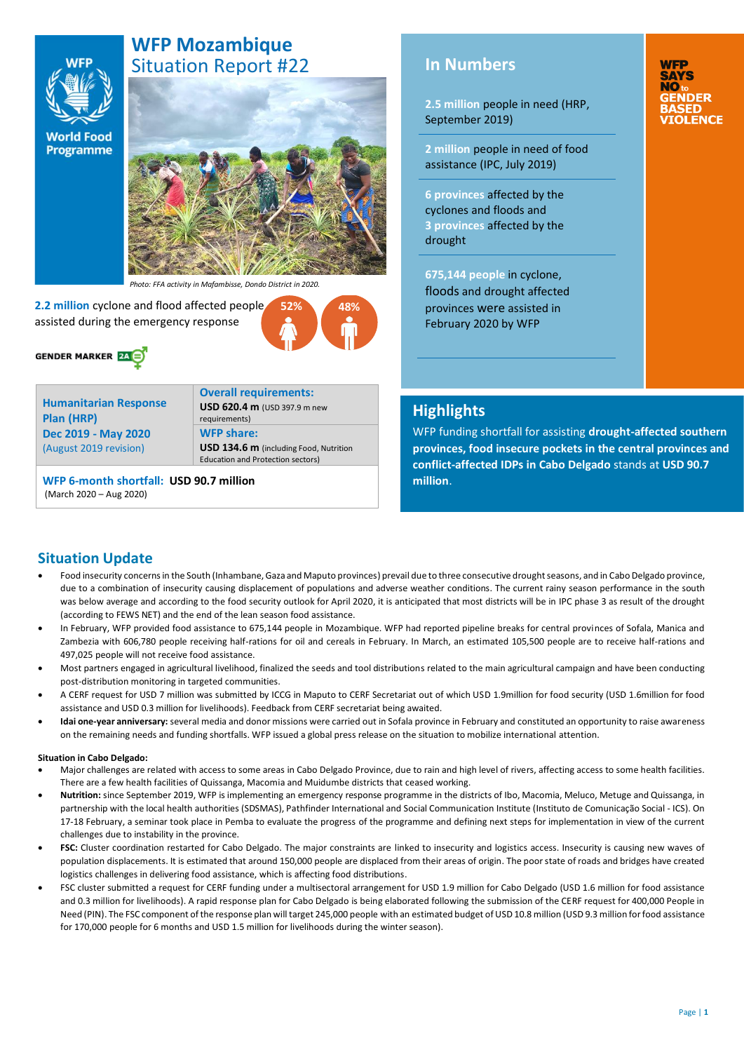# **WFP Mozambique**  Situation Report #22

**World Food Programme** 

**WFP** 

# **February 2020**

*Photo: FFA activity in Mafambisse, Dondo District in 2020.*

 **2.2 million** cyclone and flood affected people assisted during the emergency response



**Humanitarian Response Plan (HRP) Dec 2019 - May 2020**  (August 2019 revision)

**Overall requirements: USD 620.4 m** (USD 397.9 m new requirements) **WFP share: USD 134.6 m** (including Food, Nutrition Education and Protection sectors)

**52% 48%**

**WFP 6-month shortfall: USD 90.7 million** (March 2020 – Aug 2020)

# **In Numbers**

**2.5 million** people in need (HRP, September 2019)

**2 million** people in need of food assistance (IPC, July 2019)

**6 provinces** affected by the cyclones and floods and **3 provinces** affected by the drought

**675,144 people** in cyclone, floods and drought affected provinces were assisted in February 2020 by WFP

**WFP SAYS** NO.

# **Highlights**

WFP funding shortfall for assisting **drought-affected southern provinces, food insecure pockets in the central provinces and conflict-affected IDPs in Cabo Delgado** stands at **USD 90.7 million**.

# **Situation Update**

- Food insecurity concerns in the South (Inhambane, Gaza and Maputo provinces) prevail due to three consecutive drought seasons, and in Cabo Delgado province, due to a combination of insecurity causing displacement of populations and adverse weather conditions. The current rainy season performance in the south was below average and according to the food security outlook for April 2020, it is anticipated that most districts will be in IPC phase 3 as result of the drought (according to FEWS NET) and the end of the lean season food assistance.
- In February, WFP provided food assistance to 675,144 people in Mozambique. WFP had reported pipeline breaks for central provinces of Sofala, Manica and Zambezia with 606,780 people receiving half-rations for oil and cereals in February. In March, an estimated 105,500 people are to receive half-rations and 497,025 people will not receive food assistance.
- Most partners engaged in agricultural livelihood, finalized the seeds and tool distributions related to the main agricultural campaign and have been conducting post-distribution monitoring in targeted communities.
- A CERF request for USD 7 million was submitted by ICCG in Maputo to CERF Secretariat out of which USD 1.9million for food security (USD 1.6million for food assistance and USD 0.3 million for livelihoods). Feedback from CERF secretariat being awaited.
- **Idai one-year anniversary:** several media and donor missions were carried out in Sofala province in February and constituted an opportunity to raise awareness on the remaining needs and funding shortfalls. WFP issued a global press release on the situation to mobilize international attention.

### **Situation in Cabo Delgado:**

- Major challenges are related with access to some areas in Cabo Delgado Province, due to rain and high level of rivers, affecting access to some health facilities. There are a few health facilities of Quissanga, Macomia and Muidumbe districts that ceased working.
- **Nutrition:** since September 2019, WFP is implementing an emergency response programme in the districts of Ibo, Macomia, Meluco, Metuge and Quissanga, in partnership with the local health authorities (SDSMAS), Pathfinder International and Social Communication Institute (Instituto de Comunicação Social - ICS). On 17-18 February, a seminar took place in Pemba to evaluate the progress of the programme and defining next steps for implementation in view of the current challenges due to instability in the province.
- **FSC:** Cluster coordination restarted for Cabo Delgado. The major constraints are linked to insecurity and logistics access. Insecurity is causing new waves of population displacements. It is estimated that around 150,000 people are displaced from their areas of origin. The poor state of roads and bridges have created logistics challenges in delivering food assistance, which is affecting food distributions.
- FSC cluster submitted a request for CERF funding under a multisectoral arrangement for USD 1.9 million for Cabo Delgado (USD 1.6 million for food assistance and 0.3 million for livelihoods). A rapid response plan for Cabo Delgado is being elaborated following the submission of the CERF request for 400,000 People in Need (PIN). The FSC component of the response plan will target 245,000 people with an estimated budget of USD 10.8 million (USD 9.3 million for food assistance for 170,000 people for 6 months and USD 1.5 million for livelihoods during the winter season).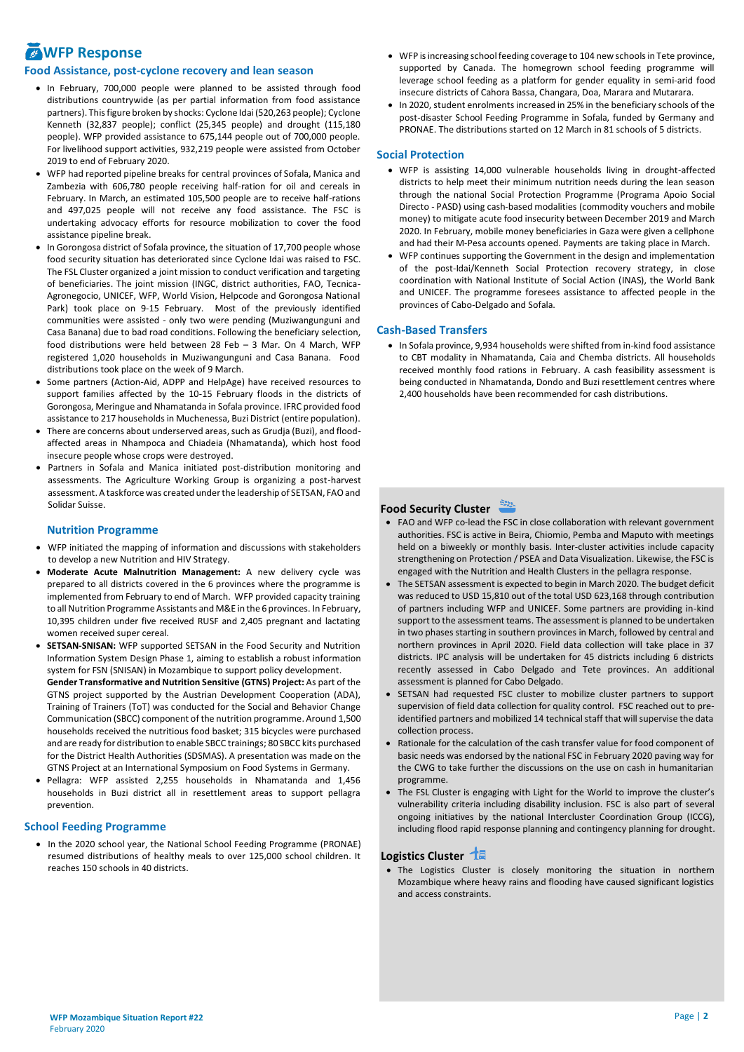# *MWFP Response*

### **Food Assistance, post-cyclone recovery and lean season**

- In February, 700,000 people were planned to be assisted through food distributions countrywide (as per partial information from food assistance partners). This figure broken by shocks: Cyclone Idai (520,263 people); Cyclone Kenneth (32,837 people); conflict (25,345 people) and drought (115,180 people). WFP provided assistance to 675,144 people out of 700,000 people. For livelihood support activities, 932,219 people were assisted from October 2019 to end of February 2020.
- WFP had reported pipeline breaks for central provinces of Sofala, Manica and Zambezia with 606,780 people receiving half-ration for oil and cereals in February. In March, an estimated 105,500 people are to receive half-rations and 497,025 people will not receive any food assistance. The FSC is undertaking advocacy efforts for resource mobilization to cover the food assistance pipeline break.
- In Gorongosa district of Sofala province, the situation of 17,700 people whose food security situation has deteriorated since Cyclone Idai was raised to FSC. The FSL Cluster organized a joint mission to conduct verification and targeting of beneficiaries. The joint mission (INGC, district authorities, FAO, Tecnica-Agronegocio, UNICEF, WFP, World Vision, Helpcode and Gorongosa National Park) took place on 9-15 February. Most of the previously identified communities were assisted - only two were pending (Muziwangunguni and Casa Banana) due to bad road conditions. Following the beneficiary selection, food distributions were held between 28 Feb – 3 Mar. On 4 March, WFP registered 1,020 households in Muziwangunguni and Casa Banana. Food distributions took place on the week of 9 March.
- Some partners (Action-Aid, ADPP and HelpAge) have received resources to support families affected by the 10-15 February floods in the districts of Gorongosa, Meringue and Nhamatanda in Sofala province. IFRC provided food assistance to 217 households in Muchenessa, Buzi District (entire population).
- There are concerns about underserved areas, such as Grudja (Buzi), and floodaffected areas in Nhampoca and Chiadeia (Nhamatanda), which host food insecure people whose crops were destroyed.
- Partners in Sofala and Manica initiated post-distribution monitoring and assessments. The Agriculture Working Group is organizing a post-harvest assessment. A taskforce was created under the leadership of SETSAN, FAO and Solidar Suisse.

### **Nutrition Programme**

- WFP initiated the mapping of information and discussions with stakeholders to develop a new Nutrition and HIV Strategy.
- **Moderate Acute Malnutrition Management:** A new delivery cycle was prepared to all districts covered in the 6 provinces where the programme is implemented from February to end of March. WFP provided capacity training to all Nutrition Programme Assistants and M&E in the 6 provinces. In February, 10,395 children under five received RUSF and 2,405 pregnant and lactating women received super cereal.
- **SETSAN-SNISAN:** WFP supported SETSAN in the Food Security and Nutrition Information System Design Phase 1, aiming to establish a robust information system for FSN (SNISAN) in Mozambique to support policy development. **Gender Transformative and Nutrition Sensitive (GTNS) Project:** As part of the

GTNS project supported by the Austrian Development Cooperation (ADA), Training of Trainers (ToT) was conducted for the Social and Behavior Change Communication (SBCC) component of the nutrition programme. Around 1,500 households received the nutritious food basket; 315 bicycles were purchased and are ready for distribution to enable SBCC trainings; 80 SBCC kits purchased for the District Health Authorities (SDSMAS). A presentation was made on the GTNS Project at an International Symposium on Food Systems in Germany.

• Pellagra: WFP assisted 2,255 households in Nhamatanda and 1,456 households in Buzi district all in resettlement areas to support pellagra prevention.

### **School Feeding Programme**

• In the 2020 school year, the National School Feeding Programme (PRONAE) resumed distributions of healthy meals to over 125,000 school children. It reaches 150 schools in 40 districts.

- WFP is increasing school feeding coverage to 104 new schools in Tete province, supported by Canada. The homegrown school feeding programme will leverage school feeding as a platform for gender equality in semi-arid food insecure districts of Cahora Bassa, Changara, Doa, Marara and Mutarara.
- In 2020, student enrolments increased in 25% in the beneficiary schools of the post-disaster School Feeding Programme in Sofala, funded by Germany and PRONAE. The distributions started on 12 March in 81 schools of 5 districts.

### **Social Protection**

- WFP is assisting 14,000 vulnerable households living in drought-affected districts to help meet their minimum nutrition needs during the lean season through the national Social Protection Programme (Programa Apoio Social Directo - PASD) using cash-based modalities (commodity vouchers and mobile money) to mitigate acute food insecurity between December 2019 and March 2020. In February, mobile money beneficiaries in Gaza were given a cellphone and had their M-Pesa accounts opened. Payments are taking place in March.
- WFP continues supporting the Government in the design and implementation of the post-Idai/Kenneth Social Protection recovery strategy, in close coordination with National Institute of Social Action (INAS), the World Bank and UNICEF. The programme foresees assistance to affected people in the provinces of Cabo-Delgado and Sofala.

### **Cash-Based Transfers**

• In Sofala province, 9,934 households were shifted from in-kind food assistance to CBT modality in Nhamatanda, Caia and Chemba districts. All households received monthly food rations in February. A cash feasibility assessment is being conducted in Nhamatanda, Dondo and Buzi resettlement centres where 2,400 households have been recommended for cash distributions.

## **Food Security Cluster**

- FAO and WFP co-lead the FSC in close collaboration with relevant government authorities. FSC is active in Beira, Chiomio, Pemba and Maputo with meetings held on a biweekly or monthly basis. Inter-cluster activities include capacity strengthening on Protection / PSEA and Data Visualization. Likewise, the FSC is engaged with the Nutrition and Health Clusters in the pellagra response.
- The SETSAN assessment is expected to begin in March 2020. The budget deficit was reduced to USD 15,810 out of the total USD 623,168 through contribution of partners including WFP and UNICEF. Some partners are providing in-kind support to the assessment teams. The assessment is planned to be undertaken in two phases starting in southern provinces in March, followed by central and northern provinces in April 2020. Field data collection will take place in 37 districts. IPC analysis will be undertaken for 45 districts including 6 districts recently assessed in Cabo Delgado and Tete provinces. An additional assessment is planned for Cabo Delgado.
- SETSAN had requested FSC cluster to mobilize cluster partners to support supervision of field data collection for quality control. FSC reached out to preidentified partners and mobilized 14 technical staff that will supervise the data collection process.
- Rationale for the calculation of the cash transfer value for food component of basic needs was endorsed by the national FSC in February 2020 paving way for the CWG to take further the discussions on the use on cash in humanitarian programme.
- The FSL Cluster is engaging with Light for the World to improve the cluster's vulnerability criteria including disability inclusion. FSC is also part of several ongoing initiatives by the national Intercluster Coordination Group (ICCG), including flood rapid response planning and contingency planning for drought.

### **Logistics Cluster**

• The Logistics Cluster is closely monitoring the situation in northern Mozambique where heavy rains and flooding have caused significant logistics and access constraints.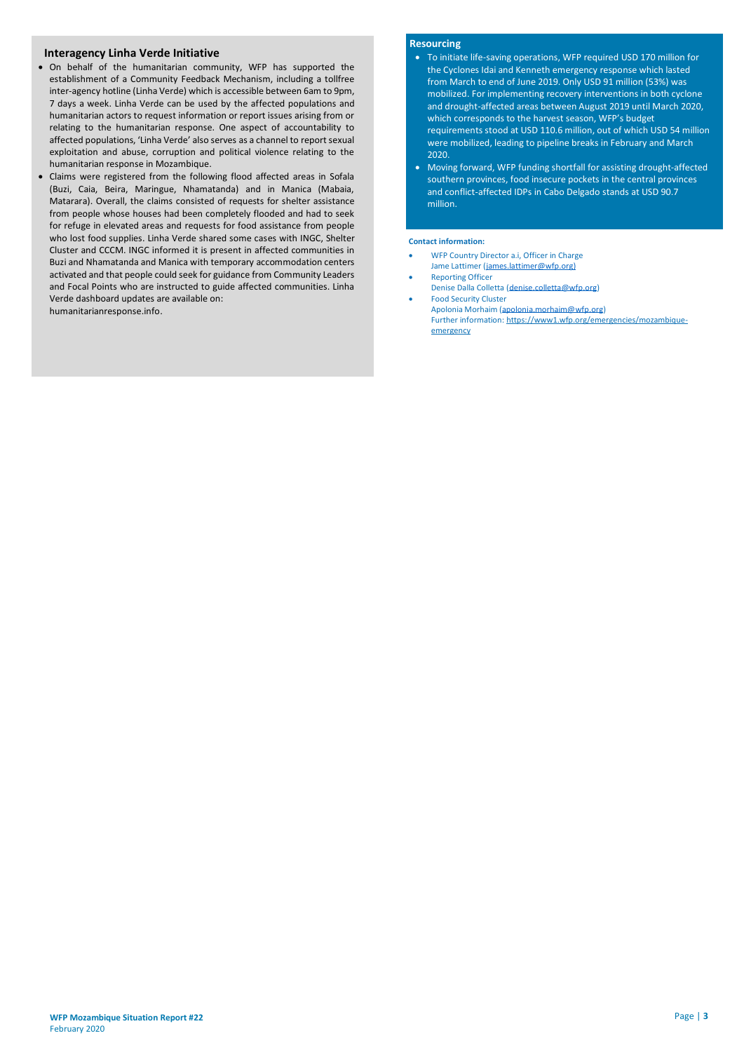### **Interagency Linha Verde Initiative**

- On behalf of the humanitarian community, WFP has supported the establishment of a Community Feedback Mechanism, including a tollfree inter-agency hotline (Linha Verde) which is accessible between 6am to 9pm, 7 days a week. Linha Verde can be used by the affected populations and humanitarian actors to request information or report issues arising from or relating to the humanitarian response. One aspect of accountability to affected populations, 'Linha Verde' also serves as a channel to report sexual exploitation and abuse, corruption and political violence relating to the humanitarian response in Mozambique.
- Claims were registered from the following flood affected areas in Sofala (Buzi, Caia, Beira, Maringue, Nhamatanda) and in Manica (Mabaia, Matarara). Overall, the claims consisted of requests for shelter assistance from people whose houses had been completely flooded and had to seek for refuge in elevated areas and requests for food assistance from people who lost food supplies. Linha Verde shared some cases with INGC, Shelter Cluster and CCCM. INGC informed it is present in affected communities in Buzi and Nhamatanda and Manica with temporary accommodation centers activated and that people could seek for guidance from Community Leaders and Focal Points who are instructed to guide affected communities. Linha Verde dashboard updates are available on: [humanitarianresponse.info.](https://www.humanitarianresponse.info/en/operations/mozambique/protection/documents)

### **Resourcing**

- To initiate life-saving operations, WFP required USD 170 million for the Cyclones Idai and Kenneth emergency response which lasted from March to end of June 2019. Only USD 91 million (53%) was mobilized. For implementing recovery interventions in both cyclone and drought-affected areas between August 2019 until March 2020, which corresponds to the harvest season, WFP's budget requirements stood at USD 110.6 million, out of which USD 54 million were mobilized, leading to pipeline breaks in February and March 2020.
- Moving forward, WFP funding shortfall for assisting drought-affected southern provinces, food insecure pockets in the central provinces and conflict-affected IDPs in Cabo Delgado stands at USD 90.7 million.

### **Contact information:**

- WFP Country Director a.i, Officer in Charge Jame Lattimer [\(james.lattimer@wfp.org\)](mailto:james.lattimer@wfp.org)
- Reporting Officer
- Denise Dalla Colletta [\(denise.colletta@wfp.org\)](mailto:denise.colletta@wfp.org) • Food Security Cluster
- Apolonia Morhaim [\(apolonia.morhaim@wfp.org\)](mailto:apolonia.morhaim@wfp.org) Further information: https://www1.wfp.org/emergencies/mozambiqueemergency